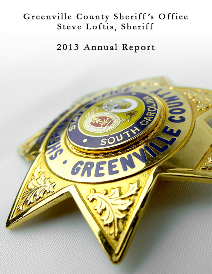# Greenville County Sheriff's Office Steve Loftis, Sheriff

2013 Annual Report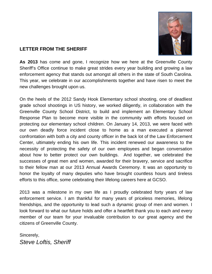

### **LETTER FROM THE SHERIFF**

**As 2013** has come and gone, I recognize how we here at the Greenville County Sheriff's Office continue to make great strides every year building and growing a law enforcement agency that stands out amongst all others in the state of South Carolina. This year, we celebrate in our accomplishments together and have risen to meet the new challenges brought upon us.

On the heels of the 2012 Sandy Hook Elementary school shooting, one of deadliest grade school shootings in US history, we worked diligently, in collaboration with the Greenville County School District, to build and implement an Elementary School Response Plan to become more visible in the community with efforts focused on protecting our elementary school children. On January 14, 2013, we were faced with our own deadly force incident close to home as a man executed a planned confrontation with both a city and county officer in the back lot of the Law Enforcement Center, ultimately ending his own life. This incident renewed our awareness to the necessity of protecting the safety of our own employees and began conversation about how to better protect our own buildings. And together, we celebrated the successes of great men and women, awarded for their bravery, service and sacrifice to their fellow man at our 2013 Annual Awards Ceremony. It was an opportunity to honor the loyalty of many deputies who have brought countless hours and tireless efforts to this office, some celebrating their lifelong careers here at GCSO.

2013 was a milestone in my own life as I proudly celebrated forty years of law enforcement service. I am thankful for many years of priceless memories, lifelong friendships, and the opportunity to lead such a dynamic group of men and women. I look forward to what our future holds and offer a heartfelt thank you to each and every member of our team for your invaluable contribution to our great agency and the citizens of Greenville County.

Sincerely, *Steve Loftis, Sheriff*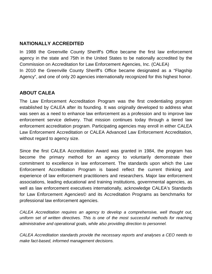### **NATIONALLY ACCREDITED**

In 1988 the Greenville County Sheriff's Office became the first law enforcement agency in the state and 75th in the United States to be nationally accredited by the Commission on Accreditation for Law Enforcement Agencies, Inc. (CALEA) In 2010 the Greenville County Sheriff's Office became designated as a "Flagship Agency", and one of only 20 agencies internationally recognized for this highest honor.

# **ABOUT CALEA**

The Law Enforcement Accreditation Program was the first credentialing program established by CALEA after its founding. It was originally developed to address what was seen as a need to enhance law enforcement as a profession and to improve law enforcement service delivery. That mission continues today through a tiered law enforcement accreditation program. Participating agencies may enroll in either CALEA Law Enforcement Accreditation or CALEA Advanced Law Enforcement Accreditation, without regard to agency size.

Since the first CALEA Accreditation Award was granted in 1984, the program has become the primary method for an agency to voluntarily demonstrate their commitment to excellence in law enforcement. The standards upon which the Law Enforcement Accreditation Program is based reflect the current thinking and experience of law enforcement practitioners and researchers. Major law enforcement associations, leading educational and training institutions, governmental agencies, as well as law enforcement executives internationally, acknowledge CALEA's Standards for Law Enforcement Agencies© and its Accreditation Programs as benchmarks for professional law enforcement agencies.

*CALEA Accreditation requires an agency to develop a comprehensive, well thought out, uniform set of written directives. This is one of the most successful methods for reaching administrative and operational goals, while also providing direction to personnel.*

*CALEA Accreditation standards provide the necessary reports and analyses a CEO needs to make fact-based, informed management decisions.*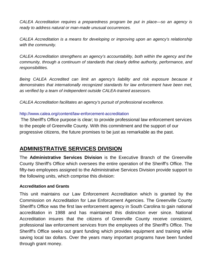*CALEA Accreditation requires a preparedness program be put in place—so an agency is ready to address natural or man-made unusual occurrences.*

*CALEA Accreditation is a means for developing or improving upon an agency's relationship with the community.*

*CALEA Accreditation strengthens an agency's accountability, both within the agency and the community, through a continuum of standards that clearly define authority, performance, and responsibilities.* 

Being CALEA Accredited can limit an agency's liability and risk exposure because it *demonstrates that internationally recognized standards for law enforcement have been met, as verified by a team of independent outside CALEA-trained assessors.*

*CALEA Accreditation facilitates an agency's pursuit of professional excellence.*

#### <http://www.calea.org/content/law-enforcement-accreditation>

The Sheriff's Office purpose is clear; to provide professional law enforcement services to the people of Greenville County. With this commitment and the support of our progressive citizens, the future promises to be just as remarkable as the past.

# **ADMINISTRATIVE SERVICES DIVISION**

The **Administrative Services Division** is the Executive Branch of the Greenville County Sheriff's Office which oversees the entire operation of the Sheriff's Office. The fifty-two employees assigned to the Administrative Services Division provide support to the following units, which comprise this division:

#### **Accreditation and Grants**

This unit maintains our Law Enforcement Accreditation which is granted by the Commission on Accreditation for Law Enforcement Agencies. The Greenville County Sheriff's Office was the first law enforcement agency in South Carolina to gain national accreditation in 1988 and has maintained this distinction ever since. National Accreditation insures that the citizens of Greenville County receive consistent, professional law enforcement services from the employees of the Sheriff's Office. The Sheriff's Office seeks out grant funding which provides equipment and training while saving local tax dollars. Over the years many important programs have been funded through grant money.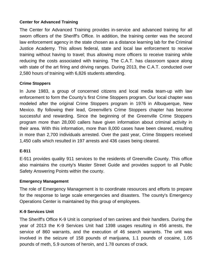#### **Center for Advanced Training**

The Center for Advanced Training provides in-service and advanced training for all sworn officers of the Sheriff's Office. In addition, the training center was the second law enforcement agency in the state chosen as a distance learning lab for the Criminal Justice Academy. This allows federal, state and local law enforcement to receive training without having to travel; thus allowing more officers to receive training while reducing the costs associated with training. The C.A.T. has classroom space along with state of the art firing and driving ranges. During 2013, the C.A.T. conducted over 2,580 hours of training with 6,826 students attending.

#### **Crime Stoppers**

In June 1983, a group of concerned citizens and local media team-up with law enforcement to form the County's first Crime Stoppers program. Our local chapter was modeled after the original Crime Stoppers program in 1976 in Albuquerque, New Mexico. By following their lead, Greenville's Crime Stoppers chapter has become successful and rewarding. Since the beginning of the Greenville Crime Stoppers program more than 28,000 callers have given information about criminal activity in their area. With this information, more than 8,000 cases have been cleared, resulting in more than 2,700 individuals arrested. Over the past year, Crime Stoppers received 1,450 calls which resulted in 197 arrests and 436 cases being cleared.

#### **E-911**

E-911 provides quality 911 services to the residents of Greenville County. This office also maintains the county's Master Street Guide and provides support to all Public Safety Answering Points within the county.

#### **Emergency Management**

The role of Emergency Management is to coordinate resources and efforts to prepare for the response to large scale emergencies and disasters. The county's Emergency Operations Center is maintained by this group of employees.

#### **K-9 Services Unit**

The Sheriff's Office K-9 Unit is comprised of ten canines and their handlers. During the year of 2013 the K-9 Services Unit had 1398 usages resulting in 456 arrests, the service of 860 warrants, and the execution of 46 search warrants. The unit was involved in the seizure of 158 pounds of marijuana, 1.1 pounds of cocaine, 1.05 pounds of meth, 5.9 ounces of heroin, and 1.78 ounces of crack.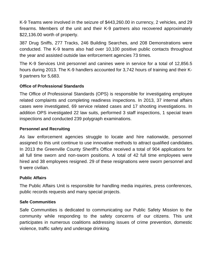K-9 Teams were involved in the seizure of \$443,260.00 in currency, 2 vehicles, and 29 firearms. Members of the unit and their K-9 partners also recovered approximately \$22,136.00 worth of property.

387 Drug Sniffs, 277 Tracks, 246 Building Searches, and 208 Demonstrations were conducted. The K-9 teams also had over 10,100 positive public contacts throughout the year and assisted outside law enforcement agencies 73 times.

The K-9 Services Unit personnel and canines were in service for a total of 12,856.5 hours during 2013. The K-9 handlers accounted for 3,742 hours of training and their K-9 partners for 5,683.

#### **Office of Professional Standards**

The Office of Professional Standards (OPS) is responsible for investigating employee related complaints and completing readiness inspections. In 2013, 37 internal affairs cases were investigated, 69 service related cases and 17 shooting investigations. In addition OPS investigated 22 law suits, performed 3 staff inspections, 1 special team inspections and conducted 239 polygraph examinations.

#### **Personnel and Recruiting**

As law enforcement agencies struggle to locate and hire nationwide, personnel assigned to this unit continue to use innovative methods to attract qualified candidates. In 2013 the Greenville County Sheriff's Office received a total of 904 applications for all full time sworn and non-sworn positions. A total of 42 full time employees were hired and 38 employees resigned. 29 of these resignations were sworn personnel and 9 were civilian.

#### **Public Affairs**

The Public Affairs Unit is responsible for handling media inquiries, press conferences, public records requests and many special projects.

#### **Safe Communities**

Safe Communities is dedicated to communicating our Public Safety Mission to the community while responding to the safety concerns of our citizens. This unit participates in numerous coalitions addressing issues of crime prevention, domestic violence, traffic safety and underage drinking.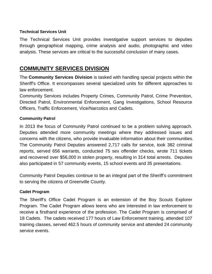#### **Technical Services Unit**

The Technical Services Unit provides investigative support services to deputies through geographical mapping, crime analysis and audio, photographic and video analysis. These services are critical to the successful conclusion of many cases.

# **COMMUNITY SERVICES DIVISION**

The **Community Services Division** is tasked with handling special projects within the Sheriff's Office. It encompasses several specialized units for different approaches to law enforcement.

Community Services includes Property Crimes, Community Patrol, Crime Prevention, Directed Patrol, Environmental Enforcement, Gang Investigations, School Resource Officers, Traffic Enforcement, Vice/Narcotics and Cadets.

#### **Community Patrol**

In 2013 the focus of Community Patrol continued to be a problem solving approach. Deputies attended more community meetings where they addressed issues and concerns with the citizens, who provide invaluable information about their communities. The Community Patrol Deputies answered 2,717 calls for service, took 382 criminal reports, served 656 warrants, conducted 75 sex offender checks, wrote 711 tickets and recovered over \$56,000 in stolen property, resulting in 314 total arrests. Deputies also participated in 57 community events, 15 school events and 35 presentations.

Community Patrol Deputies continue to be an integral part of the Sheriff's commitment to serving the citizens of Greenville County.

#### **Cadet Program**

The Sheriff's Office Cadet Program is an extension of the Boy Scouts Explorer Program. The Cadet Program allows teens who are interested in law enforcement to receive a firsthand experience of the profession. The Cadet Program is comprised of 18 Cadets. The cadets received 177 hours of Law Enforcement training, attended 107 training classes, served 462.5 hours of community service and attended 24 community service events.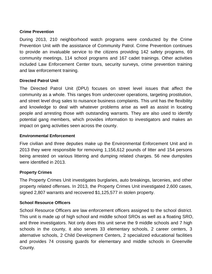#### **Crime Prevention**

During 2013, 210 neighborhood watch programs were conducted by the Crime Prevention Unit with the assistance of Community Patrol. Crime Prevention continues to provide an invaluable service to the citizens providing 142 safety programs, 69 community meetings, 114 school programs and 167 cadet trainings. Other activities included Law Enforcement Center tours, security surveys, crime prevention training and law enforcement training.

#### **Directed Patrol Unit**

The Directed Patrol Unit (DPU) focuses on street level issues that affect the community as a whole. This ranges from undercover operations, targeting prostitution, and street level drug sales to nuisance business complaints. This unit has the flexibility and knowledge to deal with whatever problems arise as well as assist in locating people and arresting those with outstanding warrants. They are also used to identify potential gang members, which provides information to investigators and makes an impact on gang activities seen across the county.

#### **Environmental Enforcement**

Five civilian and three deputies make up the Environmental Enforcement Unit and in 2013 they were responsible for removing 1,156,612 pounds of litter and 154 persons being arrested on various littering and dumping related charges. 56 new dumpsites were identified in 2013.

#### **Property Crimes**

The Property Crimes Unit investigates burglaries, auto breakings, larcenies, and other property related offenses. In 2013, the Property Crimes Unit investigated 2,600 cases, signed 2,807 warrants and recovered \$1,125,577 in stolen property.

#### **School Resource Officers**

School Resource Officers are law enforcement officers assigned to the school district. This unit is made up of high school and middle school SROs as well as a floating SRO, and three investigators. Not only does this unit serve the 9 middle schools and 7 high schools in the county, it also serves 33 elementary schools, 2 career centers, 3 alternative schools, 2 Child Development Centers, 2 specialized educational facilities and provides 74 crossing guards for elementary and middle schools in Greenville County.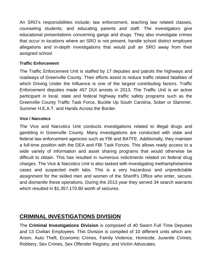An SRO's responsibilities include; law enforcement, teaching law related classes, counseling students, and educating parents and staff. The investigators give educational presentations concerning gangs and drugs. They also investigate crimes that occur in locations where an SRO is not present, handle school district employee allegations and in-depth investigations that would pull an SRO away from their assigned school.

#### **Traffic Enforcement**

The Traffic Enforcement Unit is staffed by 17 deputies and patrols the highways and roadways of Greenville County. Their efforts assist to reduce traffic related fatalities of which Driving Under the Influence is one of the largest contributing factors. Traffic Enforcement deputies made 457 DUI arrests in 2013. The Traffic Unit is an active participant in local, state and federal highway traffic safety programs such as the Greenville County Traffic Task Force, Buckle Up South Carolina, Sober or Slammer, Summer H.E.A.T. and Hands Across the Border.

#### **Vice / Narcotics**

The Vice and Narcotics Unit conducts investigations related to illegal drugs and gambling in Greenville County. Many investigations are conducted with state and federal law enforcement agencies such as FBI and BATFE. Additionally, they maintain a full-time position with the DEA and FBI Task Forces. This allows ready access to a wide variety of information and asset sharing programs that would otherwise be difficult to obtain. This has resulted in numerous indictments related on federal drug charges. The Vice & Narcotics Unit is also tasked with investigating methamphetamine cases and suspected meth labs. This is a very hazardous and unpredictable assignment for the skilled men and women of the Sheriff's Office who enter, secure, and dismantle these operations. During the 2013 year they served 34 search warrants which resulted in \$1,357,170.80 worth of seizures.

# **CRIMINAL INVESTIGATIONS DIVISION**

The **Criminal Investigations Division** is composed of 40 Sworn Full Time Deputies and 13 Civilian Employees. This Division is compiled of 10 different units which are: Arson, Auto Theft, Economic Crimes, Family Violence, Homicide, Juvenile Crimes, Robbery, Sex Crimes, Sex Offender Registry, and Victim Advocates.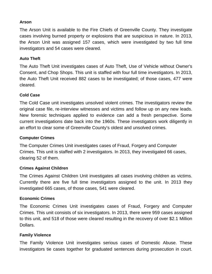#### **Arson**

The Arson Unit is available to the Fire Chiefs of Greenville County. They investigate cases involving burned property or explosions that are suspicious in nature. In 2013, the Arson Unit was assigned 157 cases, which were investigated by two full time investigators and 54 cases were cleared.

#### **Auto Theft**

The Auto Theft Unit investigates cases of Auto Theft, Use of Vehicle without Owner's Consent, and Chop Shops. This unit is staffed with four full time investigators. In 2013, the Auto Theft Unit received 882 cases to be investigated; of those cases, 477 were cleared.

#### **Cold Case**

The Cold Case unit investigates unsolved violent crimes. The investigators review the original case file, re-interview witnesses and victims and follow up on any new leads. New forensic techniques applied to evidence can add a fresh perspective. Some current investigations date back into the 1960s. These investigators work diligently in an effort to clear some of Greenville County's oldest and unsolved crimes.

#### **Computer Crimes**

The Computer Crimes Unit investigates cases of Fraud, Forgery and Computer Crimes. This unit is staffed with 2 investigators. In 2013, they investigated 66 cases, clearing 52 of them.

#### **Crimes Against Children**

The Crimes Against Children Unit investigates all cases involving children as victims. Currently there are five full time investigators assigned to the unit. In 2013 they investigated 665 cases, of those cases, 541 were cleared.

#### **Economic Crimes**

The Economic Crimes Unit investigates cases of Fraud, Forgery and Computer Crimes. This unit consists of six investigators. In 2013, there were 959 cases assigned to this unit, and 518 of those were cleared resulting in the recovery of over \$2.1 Million Dollars.

#### **Family Violence**

The Family Violence Unit investigates serious cases of Domestic Abuse. These investigators tie cases together for graduated sentences during prosecution in court.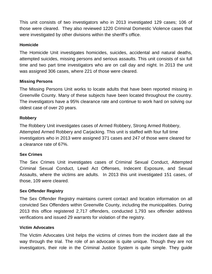This unit consists of two investigators who in 2013 investigated 129 cases; 106 of those were cleared. They also reviewed 1220 Criminal Domestic Violence cases that were investigated by other divisions within the sheriff's office.

#### **Homicide**

The Homicide Unit investigates homicides, suicides, accidental and natural deaths, attempted suicides, missing persons and serious assaults. This unit consists of six full time and two part time investigators who are on call day and night. In 2013 the unit was assigned 306 cases, where 221 of those were cleared.

#### **Missing Persons**

The Missing Persons Unit works to locate adults that have been reported missing in Greenville County. Many of these subjects have been located throughout the country. The investigators have a 95% clearance rate and continue to work hard on solving our oldest case of over 20 years.

#### **Robbery**

The Robbery Unit investigates cases of Armed Robbery, Strong Armed Robbery, Attempted Armed Robbery and Carjacking. This unit is staffed with four full time investigators who in 2013 were assigned 371 cases and 247 of those were cleared for a clearance rate of 67%.

#### **Sex Crimes**

The Sex Crimes Unit investigates cases of Criminal Sexual Conduct, Attempted Criminal Sexual Conduct, Lewd Act Offenses, Indecent Exposure, and Sexual Assaults, where the victims are adults. In 2013 this unit investigated 151 cases, of those, 109 were cleared.

#### **Sex Offender Registry**

The Sex Offender Registry maintains current contact and location information on all convicted Sex Offenders within Greenville County, including the municipalities. During 2013 this office registered 2,717 offenders, conducted 1,793 sex offender address verifications and issued 29 warrants for violation of the registry.

#### **Victim Advocates**

The Victim Advocates Unit helps the victims of crimes from the incident date all the way through the trial. The role of an advocate is quite unique. Though they are not investigators, their role in the Criminal Justice System is quite simple. They guide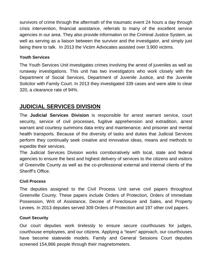survivors of crime through the aftermath of the traumatic event 24 hours a day through crisis intervention, financial assistance, referrals to many of the excellent service agencies in our area. They also provide information on the Criminal Justice System, as well as serving as a liaison between the survivor and the investigator, and simply just being there to talk. In 2013 the Victim Advocates assisted over 3,900 victims.

#### **Youth Services**

The Youth Services Unit investigates crimes involving the arrest of juveniles as well as runaway investigations. This unit has two investigators who work closely with the Department of Social Services, Department of Juvenile Justice, and the Juvenile Solicitor with Family Court. In 2013 they investigated 339 cases and were able to clear 320, a clearance rate of 94%.

# **JUDICIAL SERVICES DIVISION**

The **Judicial Services Division** is responsible for arrest warrant service, court security, service of civil processes, fugitive apprehension and extradition, arrest warrant and courtesy summons data entry and maintenance, and prisoner and mental health transports. Because of the diversity of tasks and duties that Judicial Services perform they continually seek creative and innovative ideas, means and methods to expedite their services.

The Judicial Services Division works corroboratively with local, state and federal agencies to ensure the best and highest delivery of services to the citizens and visitors of Greenville County as well as the co-professional external and internal clients of the Sheriff's Office.

#### **Civil Process**

The deputies assigned to the Civil Process Unit serve civil papers throughout Greenville County. These papers include Orders of Protection, Orders of Immediate Possession, Writ of Assistance, Decree of Foreclosure and Sales, and Property Levees. In 2013 deputies served 309 Orders of Protection and 197 other civil papers.

#### **Court Security**

Our court deputies work tirelessly to ensure secure courthouses for judges, courthouse employees, and our citizens. Applying a "team" approach, our courthouses have become statewide models. Family and General Sessions Court deputies screened 154,866 people through their magnetometers.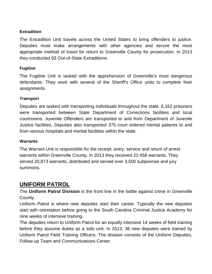#### **Extradition**

The Extradition Unit travels across the United States to bring offenders to justice. Deputies must make arrangements with other agencies and secure the most appropriate method of travel for return to Greenville County for prosecution. In 2013 they conducted 93 Out-of-State Extraditions.

#### **Fugitive**

The Fugitive Unit is tasked with the apprehension of Greenville's most dangerous defendants. They work with several of the Sheriff's Office units to complete their assignments.

#### **Transport**

Deputies are tasked with transporting individuals throughout the state. 6,162 prisoners were transported between State Department of Corrections facilities and local courtrooms. Juvenile Offenders are transported to and from Department of Juvenile Justice facilities. Deputies also transported 375 court ordered mental patients to and from various hospitals and mental facilities within the state.

#### **Warrants**

The Warrant Unit is responsible for the receipt, entry, service and return of arrest warrants within Greenville County. In 2013 they received 22,458 warrants. They served 20,873 warrants, distributed and served over 3,500 subpoenas and jury summons.

# **UNIFORM PATROL**

The **Uniform Patrol Division** is the front line in the battle against crime in Greenville County.

Uniform Patrol is where new deputies start their career. Typically the new deputies start with orientation before going to the South Carolina Criminal Justice Academy for nine weeks of intensive training.

The deputies return to Uniform Patrol for an equally intensive 14 weeks of field training before they assume duties as a solo unit. In 2013, 36 new deputies were trained by Uniform Patrol Field Training Officers. The division consists of the Uniform Deputies, Follow-up Team and Communications Center.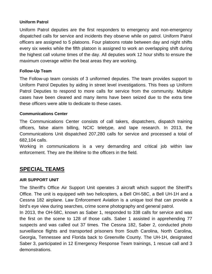#### **Uniform Patrol**

Uniform Patrol deputies are the first responders to emergency and non-emergency dispatched calls for service and incidents they observe while on patrol. Uniform Patrol officers are assigned to 5 platoons. Four platoons rotate between day and night shifts every six weeks while the fifth platoon is assigned to work an overlapping shift during the highest call volume times of the day. All deputies work 12 hour shifts to ensure the maximum coverage within the beat areas they are working.

#### **Follow-Up Team**

The Follow-up team consists of 3 uniformed deputies. The team provides support to Uniform Patrol Deputies by aiding in street level investigations. This frees up Uniform Patrol Deputies to respond to more calls for service from the community. Multiple cases have been cleared and many items have been seized due to the extra time these officers were able to dedicate to these cases.

#### **Communications Center**

The Communications Center consists of call takers, dispatchers, dispatch training officers, false alarm billing, NCIC teletype, and tape research. In 2013, the Communications Unit dispatched 207,280 calls for service and processed a total of 682,104 calls.

Working in communications is a very demanding and critical job within law enforcement. They are the lifeline to the officers in the field.

# **SPECIAL TEAMS**

#### **AIR SUPPORT UNIT**

The Sheriff's Office Air Support Unit operates 3 aircraft which support the Sheriff's Office. The unit is equipped with two helicopters, a Bell OH-58C, a Bell UH-1H and a Cessna 182 airplane. Law Enforcement Aviation is a unique tool that can provide a bird's eye view during searches, crime scene photography and general patrol.

In 2013, the OH-58C, known as Saber 1, responded to 338 calls for service and was the first on the scene to 128 of those calls. Saber 1 assisted in apprehending 77 suspects and was called out 37 times. The Cessna 182, Saber 2, conducted photo surveillance flights and transported prisoners from South Carolina, North Carolina, Georgia, Tennessee and Florida back to Greenville County. The UH-1H, designated Saber 3, participated in 12 Emergency Response Team trainings, 1 rescue call and 3 demonstrations.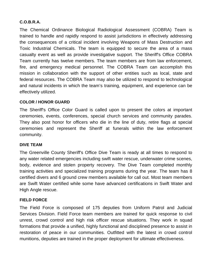#### **C.O.B.R.A.**

The Chemical Ordinance Biological Radiological Assessment (COBRA) Team is trained to handle and rapidly respond to assist jurisdictions in effectively addressing the consequences of a critical incident involving Weapons of Mass Destruction and Toxic Industrial Chemicals. The team is equipped to secure the area of a mass casualty event as well as provide investigative support. The Sheriff's Office COBRA Team currently has twelve members. The team members are from law enforcement, fire, and emergency medical personnel. The COBRA Team can accomplish this mission in collaboration with the support of other entities such as local, state and federal resources. The COBRA Team may also be utilized to respond to technological and natural incidents in which the team's training, equipment, and experience can be effectively utilized.

#### **COLOR / HONOR GUARD**

The Sheriff's Office Color Guard is called upon to present the colors at important ceremonies, events, conferences, special church services and community parades. They also post honor for officers who die in the line of duty, retire flags at special ceremonies and represent the Sheriff at funerals within the law enforcement community.

#### **DIVE TEAM**

The Greenville County Sheriff's Office Dive Team is ready at all times to respond to any water related emergencies including swift water rescue, underwater crime scenes, body, evidence and stolen property recovery. The Dive Team completed monthly training activities and specialized training programs during the year. The team has 8 certified divers and 6 ground crew members available for call out. Most team members are Swift Water certified while some have advanced certifications in Swift Water and High Angle rescue.

#### **FIELD FORCE**

The Field Force is composed of 175 deputies from Uniform Patrol and Judicial Services Division. Field Force team members are trained for quick response to civil unrest, crowd control and high risk officer rescue situations. They work in squad formations that provide a unified, highly functional and disciplined presence to assist in restoration of peace in our communities. Outfitted with the latest in crowd control munitions, deputies are trained in the proper deployment for ultimate effectiveness.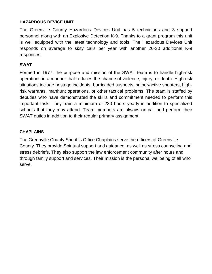#### **HAZARDOUS DEVICE UNIT**

The Greenville County Hazardous Devices Unit has 5 technicians and 3 support personnel along with an Explosive Detection K-9. Thanks to a grant program this unit is well equipped with the latest technology and tools. The Hazardous Devices Unit responds on average to sixty calls per year with another 20-30 additional K-9 responses.

#### **SWAT**

Formed in 1977, the purpose and mission of the SWAT team is to handle high-risk operations in a manner that reduces the chance of violence, injury, or death. High-risk situations include hostage incidents, barricaded suspects, sniper/active shooters, highrisk warrants, manhunt operations, or other tactical problems. The team is staffed by deputies who have demonstrated the skills and commitment needed to perform this important task. They train a minimum of 230 hours yearly in addition to specialized schools that they may attend. Team members are always on-call and perform their SWAT duties in addition to their regular primary assignment.

#### **CHAPLAINS**

The Greenville County Sheriff's Office Chaplains serve the officers of Greenville County. They provide Spiritual support and guidance, as well as stress counseling and stress debriefs. They also support the law enforcement community after hours and through family support and services. Their mission is the personal wellbeing of all who serve.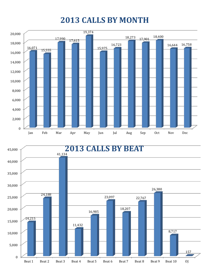# **2013 CALLS BY MONTH**



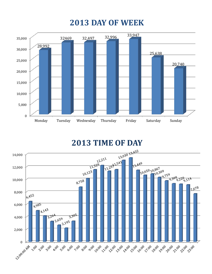# **2013 DAY OF WEEK**



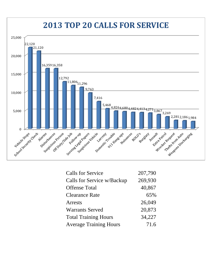

| <b>Calls for Service</b>      | 207,790 |
|-------------------------------|---------|
| Calls for Service w/Backup    | 269,930 |
| <b>Offense Total</b>          | 40,867  |
| <b>Clearance Rate</b>         | 65%     |
| Arrests                       | 26,049  |
| <b>Warrants Served</b>        | 20,873  |
| <b>Total Training Hours</b>   | 34,227  |
| <b>Average Training Hours</b> | 71.6    |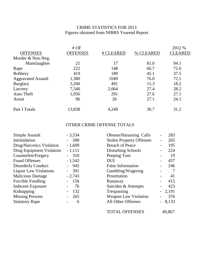### CRIME STATISTICS FOR 2013 Figures obtained from NIBRS Yearend Report

|                           | #OF             |           |           | 2012 %         |
|---------------------------|-----------------|-----------|-----------|----------------|
| <b>OFFENSES</b>           | <b>OFFENSES</b> | # CLEARED | % CLEARED | <b>CLEARED</b> |
| Murder & Non-Neg.         |                 |           |           |                |
| Manslaughter              | 21              | 17        | 81.0      | 94.1           |
| Rape                      | 222             | 148       | 66.7      | 72.6           |
| Robbery                   | 419             | 189       | 45.1      | 37.5           |
| <b>Aggravated Assault</b> | 1,380           | 1049      | 76.0      | 72.1           |
| <b>Burglary</b>           | 3,200           | 491       | 15.3      | 18.2           |
| Larceny                   | 7,540           | 2,064     | 27.4      | 28.2           |
| <b>Auto Theft</b>         | 1,056           | 291       | 27.6      | 27.1           |
| Arson                     | 96              | 26        | 27.1      | 24.1           |
| Part I Totals             | 13,838          | 4,249     | 30.7      | 31.2           |

### OTHER CRIME OFFENSE TOTALS

| Simple Assault               | $-3,534$ | <b>Obsene/Harassing Calls</b>   | 283      |
|------------------------------|----------|---------------------------------|----------|
| Intimidation                 | $-580$   | <b>Stolen Property Offenses</b> | 265      |
| Drug/Narcotics Violation     | $-1,609$ | <b>Breach of Peace</b>          | 195      |
| Drug Equipment Violatoin     | $-1,111$ | Disturbing Schools              | 224      |
| Counterfeit/Forgery          | $-310$   | Peeping Tom                     | 19       |
| <b>Fraud Offenses</b>        | $-1,543$ | <b>DUI</b>                      | 457      |
| <b>Disorderly Conduct</b>    | 945      | <b>False Information</b>        | 246      |
| <b>Liquor Law Violations</b> | $-391$   | Gambling/Wagering               | 7        |
| <b>Malicious Damage</b>      | $-2,743$ | Prostitution                    | 41       |
| Forcible Fondling            | 156      | Runaway                         | 415      |
| <b>Indecent Exposure</b>     | 76       | Suicides & Attempts             | 423      |
| Kidnapping                   | 132      | Trespassing                     | $-2,191$ |
| <b>Missing Persons</b>       | 265      | <b>Weapon Law Violation</b>     | 376      |
| <b>Statutory Rape</b>        | 6        | All Other Offenses              | 8,133    |
|                              |          |                                 |          |

| <b>TOTAL OFFENSES</b> | 40,867 |
|-----------------------|--------|
|-----------------------|--------|